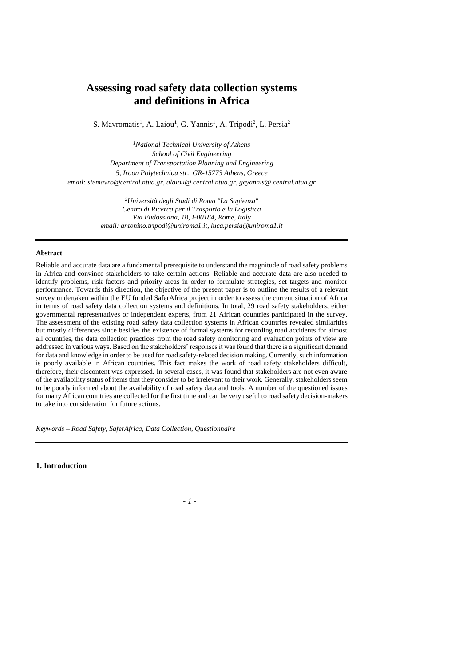# **Assessing road safety data collection systems and definitions in Africa**

S. Mavromatis<sup>1</sup>, A. Laiou<sup>1</sup>, G. Yannis<sup>1</sup>, A. Tripodi<sup>2</sup>, L. Persia<sup>2</sup>

*<sup>1</sup>National Technical University of Athens School of Civil Engineering Department of Transportation Planning and Engineering 5, Iroon Polytechniou str., GR-15773 Athens, Greece email: stemavro@central.ntua.gr, alaiou@ central.ntua.gr, geyannis@ central.ntua.gr* 

> *<sup>2</sup>Università degli Studi di Roma "La Sapienza" Centro di Ricerca per il Trasporto e la Logistica Via Eudossiana, 18, I-00184, Rome, Italy email: antonino.tripodi@uniroma1.it, luca.persia@uniroma1.it*

# **Abstract**

Reliable and accurate data are a fundamental prerequisite to understand the magnitude of road safety problems in Africa and convince stakeholders to take certain actions. Reliable and accurate data are also needed to identify problems, risk factors and priority areas in order to formulate strategies, set targets and monitor performance. Towards this direction, the objective of the present paper is to outline the results of a relevant survey undertaken within the EU funded SaferAfrica project in order to assess the current situation of Africa in terms of road safety data collection systems and definitions. In total, 29 road safety stakeholders, either governmental representatives or independent experts, from 21 African countries participated in the survey. The assessment of the existing road safety data collection systems in African countries revealed similarities but mostly differences since besides the existence of formal systems for recording road accidents for almost all countries, the data collection practices from the road safety monitoring and evaluation points of view are addressed in various ways. Based on the stakeholders' responses it was found that there is a significant demand for data and knowledge in order to be used for road safety-related decision making. Currently, such information is poorly available in African countries. This fact makes the work of road safety stakeholders difficult, therefore, their discontent was expressed. In several cases, it was found that stakeholders are not even aware of the availability status of items that they consider to be irrelevant to their work. Generally, stakeholders seem to be poorly informed about the availability of road safety data and tools. A number of the questioned issues for many African countries are collected for the first time and can be very useful to road safety decision-makers to take into consideration for future actions.

*Keywords – Road Safety, SaferAfrica, Data Collection, Questionnaire*

**1. Introduction**

*- 1 -*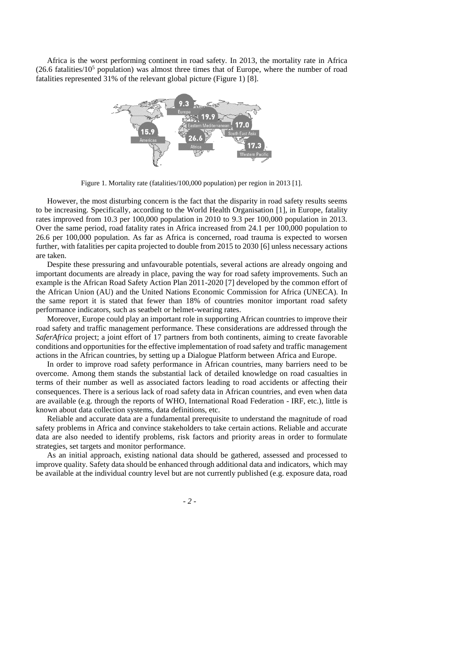Africa is the worst performing continent in road safety. In 2013, the mortality rate in Africa  $(26.6 \text{ fatalities}/10^5 \text{ population})$  was almost three times that of Europe, where the number of road fatalities represented 31% of the relevant global picture (Figure 1) [8].



Figure 1. Mortality rate (fatalities/100,000 population) per region in 2013 [1].

However, the most disturbing concern is the fact that the disparity in road safety results seems to be increasing. Specifically, according to the World Health Organisation [1], in Europe, fatality rates improved from 10.3 per 100,000 population in 2010 to 9.3 per 100,000 population in 2013. Over the same period, road fatality rates in Africa increased from 24.1 per 100,000 population to 26.6 per 100,000 population. As far as Africa is concerned, road trauma is expected to worsen further, with fatalities per capita projected to double from 2015 to 2030 [6] unless necessary actions are taken.

Despite these pressuring and unfavourable potentials, several actions are already ongoing and important documents are already in place, paving the way for road safety improvements. Such an example is the African Road Safety Action Plan 2011-2020 [7] developed by the common effort of the African Union (AU) and the United Nations Economic Commission for Africa (UNECA). In the same report it is stated that fewer than 18% of countries monitor important road safety performance indicators, such as seatbelt or helmet-wearing rates.

Moreover, Europe could play an important role in supporting African countries to improve their road safety and traffic management performance. These considerations are addressed through the *SaferAfrica* project; a joint effort of 17 partners from both continents, aiming to create favorable conditions and opportunities for the effective implementation of road safety and traffic management actions in the African countries, by setting up a Dialogue Platform between Africa and Europe.

In order to improve road safety performance in African countries, many barriers need to be overcome. Among them stands the substantial lack of detailed knowledge on road casualties in terms of their number as well as associated factors leading to road accidents or affecting their consequences. There is a serious lack of road safety data in African countries, and even when data are available (e.g. through the reports of WHO, International Road Federation - IRF, etc.), little is known about data collection systems, data definitions, etc.

Reliable and accurate data are a fundamental prerequisite to understand the magnitude of road safety problems in Africa and convince stakeholders to take certain actions. Reliable and accurate data are also needed to identify problems, risk factors and priority areas in order to formulate strategies, set targets and monitor performance.

As an initial approach, existing national data should be gathered, assessed and processed to improve quality. Safety data should be enhanced through additional data and indicators, which may be available at the individual country level but are not currently published (e.g. exposure data, road

*- 2 -*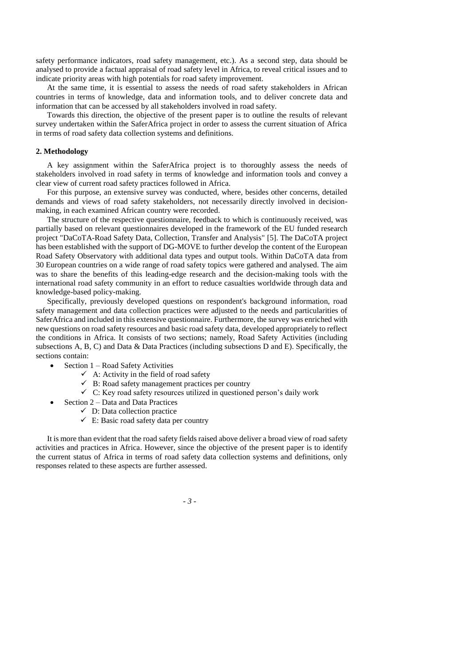safety performance indicators, road safety management, etc.). As a second step, data should be analysed to provide a factual appraisal of road safety level in Africa, to reveal critical issues and to indicate priority areas with high potentials for road safety improvement.

At the same time, it is essential to assess the needs of road safety stakeholders in African countries in terms of knowledge, data and information tools, and to deliver concrete data and information that can be accessed by all stakeholders involved in road safety.

Towards this direction, the objective of the present paper is to outline the results of relevant survey undertaken within the SaferAfrica project in order to assess the current situation of Africa in terms of road safety data collection systems and definitions.

# **2. Methodology**

A key assignment within the SaferAfrica project is to thoroughly assess the needs of stakeholders involved in road safety in terms of knowledge and information tools and convey a clear view of current road safety practices followed in Africa.

For this purpose, an extensive survey was conducted, where, besides other concerns, detailed demands and views of road safety stakeholders, not necessarily directly involved in decisionmaking, in each examined African country were recorded.

The structure of the respective questionnaire, feedback to which is continuously received, was partially based on relevant questionnaires developed in the framework of the EU funded research project "DaCoTA-Road Safety Data, Collection, Transfer and Analysis" [5]. The DaCoTA project has been established with the support of DG-MOVE to further develop the content of the European Road Safety Observatory with additional data types and output tools. Within DaCoTA data from 30 European countries on a wide range of road safety topics were gathered and analysed. The aim was to share the benefits of this leading-edge research and the decision-making tools with the international road safety community in an effort to reduce casualties worldwide through data and knowledge-based policy-making.

Specifically, previously developed questions on respondent's background information, road safety management and data collection practices were adjusted to the needs and particularities of SaferAfrica and included in this extensive questionnaire. Furthermore, the survey was enriched with new questions on road safety resources and basic road safety data, developed appropriately to reflect the conditions in Africa. It consists of two sections; namely, Road Safety Activities (including subsections A, B, C) and Data & Data Practices (including subsections D and E). Specifically, the sections contain:

- Section 1 Road Safety Activities
	- $\checkmark$  A: Activity in the field of road safety
	- $\checkmark$  B: Road safety management practices per country
	- $\checkmark$  C: Key road safety resources utilized in questioned person's daily work
- Section 2 Data and Data Practices
	- $\checkmark$  D: Data collection practice
	- $\checkmark$  E: Basic road safety data per country

It is more than evident that the road safety fields raised above deliver a broad view of road safety activities and practices in Africa. However, since the objective of the present paper is to identify the current status of Africa in terms of road safety data collection systems and definitions, only responses related to these aspects are further assessed.

*- 3 -*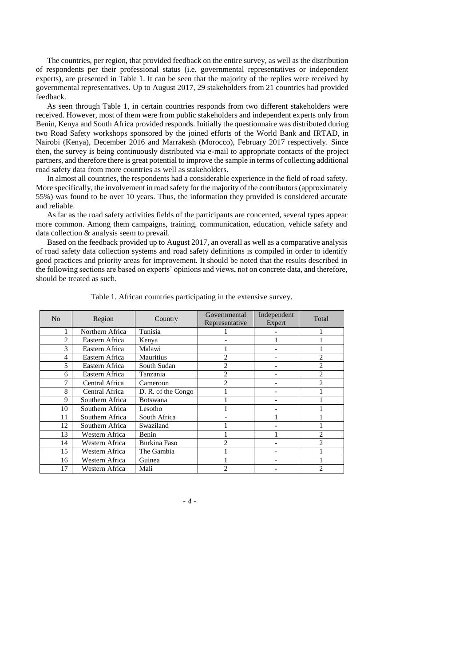The countries, per region, that provided feedback on the entire survey, as well as the distribution of respondents per their professional status (i.e. governmental representatives or independent experts), are presented in Table 1. It can be seen that the majority of the replies were received by governmental representatives. Up to August 2017, 29 stakeholders from 21 countries had provided feedback.

As seen through Table 1, in certain countries responds from two different stakeholders were received. However, most of them were from public stakeholders and independent experts only from Benin, Kenya and South Africa provided responds. Initially the questionnaire was distributed during two Road Safety workshops sponsored by the joined efforts of the World Bank and IRTAD, in Nairobi (Kenya), December 2016 and Marrakesh (Morocco), February 2017 respectively. Since then, the survey is being continuously distributed via e-mail to appropriate contacts of the project partners, and therefore there is great potential to improve the sample in terms of collecting additional road safety data from more countries as well as stakeholders.

In almost all countries, the respondents had a considerable experience in the field of road safety. More specifically, the involvement in road safety for the majority of the contributors (approximately 55%) was found to be over 10 years. Thus, the information they provided is considered accurate and reliable.

As far as the road safety activities fields of the participants are concerned, several types appear more common. Among them campaigns, training, communication, education, vehicle safety and data collection & analysis seem to prevail.

Based on the feedback provided up to August 2017, an overall as well as a comparative analysis of road safety data collection systems and road safety definitions is compiled in order to identify good practices and priority areas for improvement. It should be noted that the results described in the following sections are based on experts' opinions and views, not on concrete data, and therefore, should be treated as such.

| N <sub>0</sub> | Region          | Country            | Governmental<br>Representative | Independent<br>Expert | Total          |
|----------------|-----------------|--------------------|--------------------------------|-----------------------|----------------|
|                | Northern Africa | Tunisia            |                                |                       |                |
| 2              | Eastern Africa  | Kenya              |                                |                       |                |
| 3              | Eastern Africa  | Malawi             |                                |                       |                |
| $\overline{4}$ | Eastern Africa  | Mauritius          | 2                              |                       | 2              |
| 5              | Eastern Africa  | South Sudan        | 2                              |                       | 2              |
| 6              | Eastern Africa  | Tanzania           | 2                              |                       | 2              |
| 7              | Central Africa  | Cameroon           | $\overline{c}$                 |                       | $\overline{c}$ |
| 8              | Central Africa  | D. R. of the Congo |                                |                       |                |
| 9              | Southern Africa | <b>Botswana</b>    |                                |                       |                |
| 10             | Southern Africa | Lesotho            |                                |                       |                |
| 11             | Southern Africa | South Africa       |                                |                       |                |
| 12             | Southern Africa | Swaziland          |                                |                       |                |
| 13             | Western Africa  | Benin              |                                |                       | 2              |
| 14             | Western Africa  | Burkina Faso       | $\mathfrak{D}$                 |                       | $\mathfrak{D}$ |
| 15             | Western Africa  | The Gambia         |                                |                       |                |
| 16             | Western Africa  | Guinea             |                                |                       |                |
| 17             | Western Africa  | Mali               | $\mathfrak{D}$                 |                       | 2              |

Table 1. African countries participating in the extensive survey.

*- 4 -*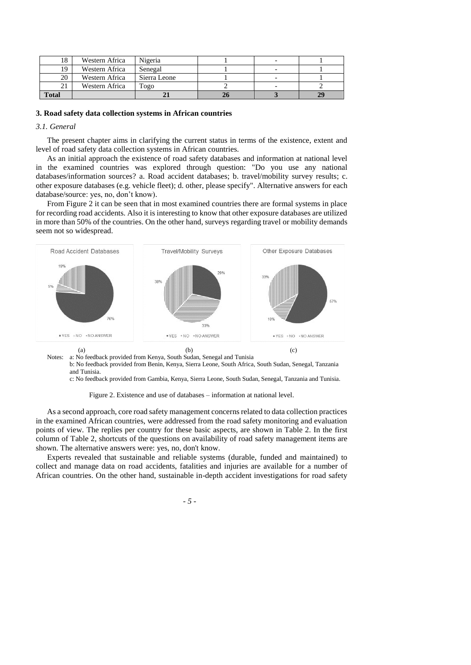| 18           | Western Africa | Nigeria       |  |  |
|--------------|----------------|---------------|--|--|
| 19           | Western Africa | Senegal       |  |  |
| 20           | Western Africa | Sierra Leone  |  |  |
| 21           | Western Africa | $T_{\rm O2O}$ |  |  |
| <b>Total</b> |                |               |  |  |

#### **3. Road safety data collection systems in African countries**

# *3.1. General*

The present chapter aims in clarifying the current status in terms of the existence, extent and level of road safety data collection systems in African countries.

As an initial approach the existence of road safety databases and information at national level in the examined countries was explored through question: "Do you use any national databases/information sources? a. Road accident databases; b. travel/mobility survey results; c. other exposure databases (e.g. vehicle fleet); d. other, please specify". Alternative answers for each database/source: yes, no, don't know).

From Figure 2 it can be seen that in most examined countries there are formal systems in place for recording road accidents. Also it is interesting to know that other exposure databases are utilized in more than 50% of the countries. On the other hand, surveys regarding travel or mobility demands seem not so widespread.



b: No feedback provided from Benin, Kenya, Sierra Leone, South Africa, South Sudan, Senegal, Tanzania and Tunisia.

c: No feedback provided from Gambia, Kenya, Sierra Leone, South Sudan, Senegal, Tanzania and Tunisia.

Figure 2. Existence and use of databases – information at national level.

As a second approach, core road safety management concerns related to data collection practices in the examined African countries, were addressed from the road safety monitoring and evaluation points of view. The replies per country for these basic aspects, are shown in Table 2. In the first column of Table 2, shortcuts of the questions on availability of road safety management items are shown. The alternative answers were: yes, no, don't know.

Experts revealed that sustainable and reliable systems (durable, funded and maintained) to collect and manage data on road accidents, fatalities and injuries are available for a number of African countries. On the other hand, sustainable in-depth accident investigations for road safety

*- 5 -*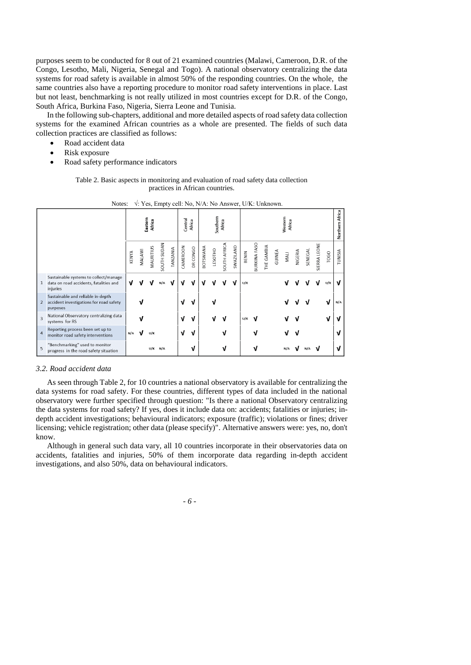purposes seem to be conducted for 8 out of 21 examined countries (Malawi, Cameroon, D.R. of the Congo, Lesotho, Mali, Nigeria, Senegal and Togo). A national observatory centralizing the data systems for road safety is available in almost 50% of the responding countries. On the whole, the same countries also have a reporting procedure to monitor road safety interventions in place. Last but not least, benchmarking is not really utilized in most countries except for D.R. of the Congo, South Africa, Burkina Faso, Nigeria, Sierra Leone and Tunisia.

In the following sub-chapters, additional and more detailed aspects of road safety data collection systems for the examined African countries as a whole are presented. The fields of such data collection practices are classified as follows:

- Road accident data
- Risk exposure
- Road safety performance indicators

Table 2. Basic aspects in monitoring and evaluation of road safety data collection practices in African countries.

|                |                                                                                             | Eastern<br>Africa |        |           |             | Central<br>Africa |          | Southern<br>Africa |                 |         | Western<br>Africa   |           |       |                     |            |        |      |         | Northern Africa |              |      |         |
|----------------|---------------------------------------------------------------------------------------------|-------------------|--------|-----------|-------------|-------------------|----------|--------------------|-----------------|---------|---------------------|-----------|-------|---------------------|------------|--------|------|---------|-----------------|--------------|------|---------|
|                |                                                                                             | KENYA             | MALAWI | MAURITIUS | SOUTH SUDAN | <b>TANZANIA</b>   | CAMEROON | DR CONGO           | <b>ANAWATOE</b> | LESOTHO | <b>SOUTH AFRICA</b> | SWAZILAND | BENIN | <b>BURKINA FASO</b> | THE GAMBIA | GUINEA | MALI | NIGERIA | SENEGAL         | SIERRA LEONE | TOGO | TUNISIA |
| $\mathbf{1}$   | Sustainable systems to collect/manage<br>data on road accidents, fatalities and<br>injuries | v                 |        | ν         | N/A         | ν                 | v        | ν                  | ν               |         |                     | ν         | U/K   |                     |            |        |      |         |                 |              | U/K  | v       |
| 2              | Sustainable and reliable in-depth<br>accident investigations for road safety<br>purposes    |                   |        |           |             |                   | ν        | ν                  |                 |         |                     |           |       |                     |            |        |      |         |                 |              | ν    | N/A     |
| $\overline{3}$ | National Observatory centralizing data<br>systems for RS                                    |                   |        |           |             |                   | ν        | ν                  |                 |         |                     |           | U/K   |                     |            |        |      |         |                 |              |      |         |
| $\overline{4}$ | Reporting process been set up to<br>monitor road safety interventions                       | N/A               |        | U/K       |             |                   | J        | v                  |                 |         |                     |           |       |                     |            |        |      |         |                 |              |      |         |
| 5              | "Benchmarking" used to monitor<br>progress in the road safety situation                     |                   |        |           | $U/K$ N/A   |                   |          | ν                  |                 |         |                     |           |       |                     |            |        | N/A  |         | N/A             |              |      |         |

Notes: √: Yes, Empty cell: No, N/A: No Answer, U/K: Unknown.

# *3.2. Road accident data*

As seen through Table 2, for 10 countries a national observatory is available for centralizing the data systems for road safety. For these countries, different types of data included in the national observatory were further specified through question: "Is there a national Observatory centralizing the data systems for road safety? If yes, does it include data on: accidents; fatalities or injuries; indepth accident investigations; behavioural indicators; exposure (traffic); violations or fines; driver licensing; vehicle registration; other data (please specify)". Alternative answers were: yes, no, don't know.

Although in general such data vary, all 10 countries incorporate in their observatories data on accidents, fatalities and injuries, 50% of them incorporate data regarding in-depth accident investigations, and also 50%, data on behavioural indicators.

*- 6 -*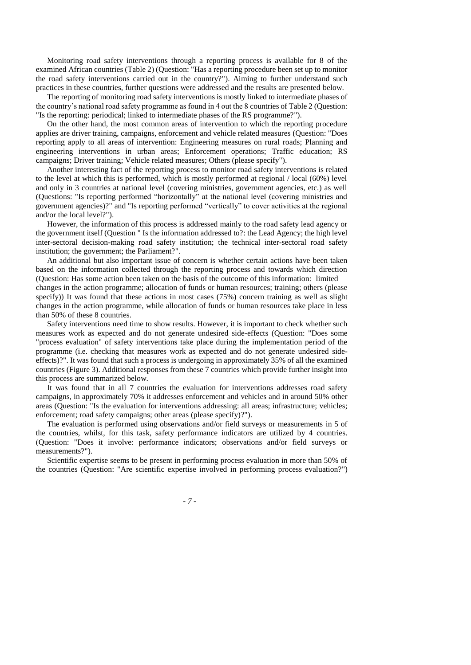Monitoring road safety interventions through a reporting process is available for 8 of the examined African countries (Table 2) (Question: "Has a reporting procedure been set up to monitor the road safety interventions carried out in the country?"). Aiming to further understand such practices in these countries, further questions were addressed and the results are presented below.

The reporting of monitoring road safety interventions is mostly linked to intermediate phases of the country's national road safety programme as found in 4 out the 8 countries of Table 2 (Question: "Is the reporting: periodical; linked to intermediate phases of the RS programme?").

On the other hand, the most common areas of intervention to which the reporting procedure applies are driver training, campaigns, enforcement and vehicle related measures (Question: "Does reporting apply to all areas of intervention: Engineering measures on rural roads; Planning and engineering interventions in urban areas; Enforcement operations; Traffic education; RS campaigns; Driver training; Vehicle related measures; Others (please specify").

Another interesting fact of the reporting process to monitor road safety interventions is related to the level at which this is performed, which is mostly performed at regional / local (60%) level and only in 3 countries at national level (covering ministries, government agencies, etc.) as well (Questions: "Is reporting performed "horizontally" at the national level (covering ministries and government agencies)?" and "Is reporting performed "vertically" to cover activities at the regional and/or the local level?").

However, the information of this process is addressed mainly to the road safety lead agency or the government itself (Question " Is the information addressed to?: the Lead Agency; the high level inter-sectoral decision-making road safety institution; the technical inter-sectoral road safety institution; the government; the Parliament?".

An additional but also important issue of concern is whether certain actions have been taken based on the information collected through the reporting process and towards which direction (Question: Has some action been taken on the basis of the outcome of this information: limited changes in the action programme; allocation of funds or human resources; training; others (please specify)) It was found that these actions in most cases (75%) concern training as well as slight changes in the action programme, while allocation of funds or human resources take place in less than 50% of these 8 countries.

Safety interventions need time to show results. However, it is important to check whether such measures work as expected and do not generate undesired side-effects (Question: "Does some "process evaluation" of safety interventions take place during the implementation period of the programme (i.e. checking that measures work as expected and do not generate undesired sideeffects)?". It was found that such a process is undergoing in approximately 35% of all the examined countries (Figure 3). Additional responses from these 7 countries which provide further insight into this process are summarized below.

It was found that in all 7 countries the evaluation for interventions addresses road safety campaigns, in approximately 70% it addresses enforcement and vehicles and in around 50% other areas (Question: "Is the evaluation for interventions addressing: all areas; infrastructure; vehicles; enforcement; road safety campaigns; other areas (please specify)?").

The evaluation is performed using observations and/or field surveys or measurements in 5 of the countries, whilst, for this task, safety performance indicators are utilized by 4 countries. (Question: "Does it involve: performance indicators; observations and/or field surveys or measurements?").

Scientific expertise seems to be present in performing process evaluation in more than 50% of the countries (Question: "Are scientific expertise involved in performing process evaluation?")

*- 7 -*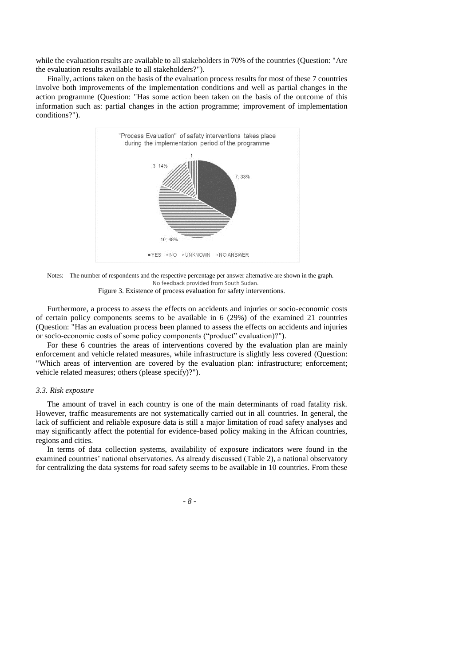while the evaluation results are available to all stakeholders in 70% of the countries (Question: "Are the evaluation results available to all stakeholders?").

Finally, actions taken on the basis of the evaluation process results for most of these 7 countries involve both improvements of the implementation conditions and well as partial changes in the action programme (Question: "Has some action been taken on the basis of the outcome of this information such as: partial changes in the action programme; improvement of implementation conditions?").



Notes: The number of respondents and the respective percentage per answer alternative are shown in the graph. No feedback provided from South Sudan. Figure 3. Existence of process evaluation for safety interventions.

Furthermore, a process to assess the effects on accidents and injuries or socio-economic costs of certain policy components seems to be available in 6 (29%) of the examined 21 countries (Question: "Has an evaluation process been planned to assess the effects on accidents and injuries or socio-economic costs of some policy components ("product" evaluation)?").

For these 6 countries the areas of interventions covered by the evaluation plan are mainly enforcement and vehicle related measures, while infrastructure is slightly less covered (Question: "Which areas of intervention are covered by the evaluation plan: infrastructure; enforcement; vehicle related measures; others (please specify)?").

#### *3.3. Risk exposure*

The amount of travel in each country is one of the main determinants of road fatality risk. However, traffic measurements are not systematically carried out in all countries. In general, the lack of sufficient and reliable exposure data is still a major limitation of road safety analyses and may significantly affect the potential for evidence-based policy making in the African countries, regions and cities.

In terms of data collection systems, availability of exposure indicators were found in the examined countries' national observatories. As already discussed (Table 2), a national observatory for centralizing the data systems for road safety seems to be available in 10 countries. From these

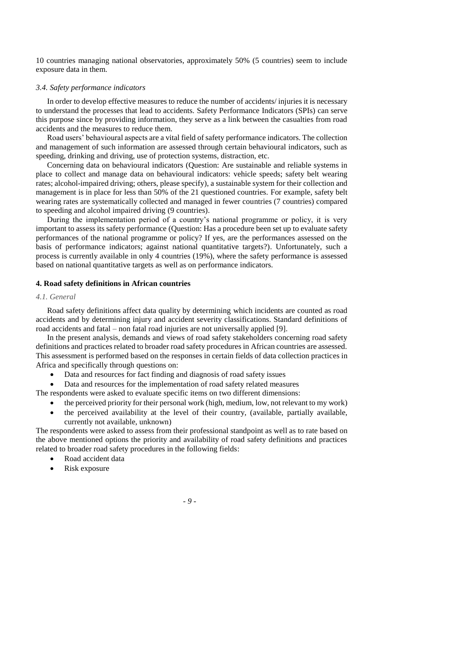10 countries managing national observatories, approximately 50% (5 countries) seem to include exposure data in them.

# *3.4. Safety performance indicators*

In order to develop effective measures to reduce the number of accidents/ injuries it is necessary to understand the processes that lead to accidents. Safety Performance Indicators (SPIs) can serve this purpose since by providing information, they serve as a link between the casualties from road accidents and the measures to reduce them.

Road users' behavioural aspects are a vital field of safety performance indicators. The collection and management of such information are assessed through certain behavioural indicators, such as speeding, drinking and driving, use of protection systems, distraction, etc.

Concerning data on behavioural indicators (Question: Are sustainable and reliable systems in place to collect and manage data on behavioural indicators: vehicle speeds; safety belt wearing rates; alcohol-impaired driving; others, please specify), a sustainable system for their collection and management is in place for less than 50% of the 21 questioned countries. For example, safety belt wearing rates are systematically collected and managed in fewer countries (7 countries) compared to speeding and alcohol impaired driving (9 countries).

During the implementation period of a country's national programme or policy, it is very important to assess its safety performance (Question: Has a procedure been set up to evaluate safety performances of the national programme or policy? If yes, are the performances assessed on the basis of performance indicators; against national quantitative targets?). Unfortunately, such a process is currently available in only 4 countries (19%), where the safety performance is assessed based on national quantitative targets as well as on performance indicators.

# **4. Road safety definitions in African countries**

# *4.1. General*

Road safety definitions affect data quality by determining which incidents are counted as road accidents and by determining injury and accident severity classifications. Standard definitions of road accidents and fatal – non fatal road injuries are not universally applied [9].

In the present analysis, demands and views of road safety stakeholders concerning road safety definitions and practices related to broader road safety procedures in African countries are assessed. This assessment is performed based on the responses in certain fields of data collection practices in Africa and specifically through questions on:

- Data and resources for fact finding and diagnosis of road safety issues
- Data and resources for the implementation of road safety related measures

The respondents were asked to evaluate specific items on two different dimensions:

- the perceived priority for their personal work (high, medium, low, not relevant to my work)
- the perceived availability at the level of their country, (available, partially available, currently not available, unknown)

The respondents were asked to assess from their professional standpoint as well as to rate based on the above mentioned options the priority and availability of road safety definitions and practices related to broader road safety procedures in the following fields:

- Road accident data
- Risk exposure

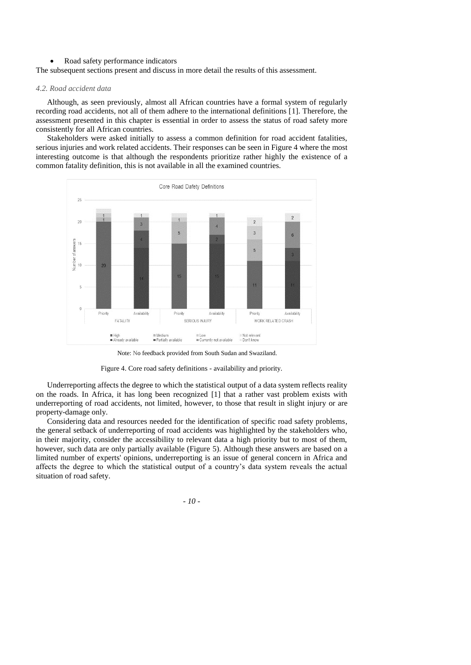# Road safety performance indicators

The subsequent sections present and discuss in more detail the results of this assessment.

#### *4.2. Road accident data*

Although, as seen previously, almost all African countries have a formal system of regularly recording road accidents, not all of them adhere to the international definitions [1]. Therefore, the assessment presented in this chapter is essential in order to assess the status of road safety more consistently for all African countries.

Stakeholders were asked initially to assess a common definition for road accident fatalities, serious injuries and work related accidents. Their responses can be seen in Figure 4 where the most interesting outcome is that although the respondents prioritize rather highly the existence of a common fatality definition, this is not available in all the examined countries.



Note: No feedback provided from South Sudan and Swaziland.

Figure 4. Core road safety definitions - availability and priority.

Underreporting affects the degree to which the statistical output of a data system reflects reality on the roads. In Africa, it has long been recognized [1] that a rather vast problem exists with underreporting of road accidents, not limited, however, to those that result in slight injury or are property-damage only.

Considering data and resources needed for the identification of specific road safety problems, the general setback of underreporting of road accidents was highlighted by the stakeholders who, in their majority, consider the accessibility to relevant data a high priority but to most of them, however, such data are only partially available (Figure 5). Although these answers are based on a limited number of experts' opinions, underreporting is an issue of general concern in Africa and affects the degree to which the statistical output of a country's data system reveals the actual situation of road safety.

*- 10 -*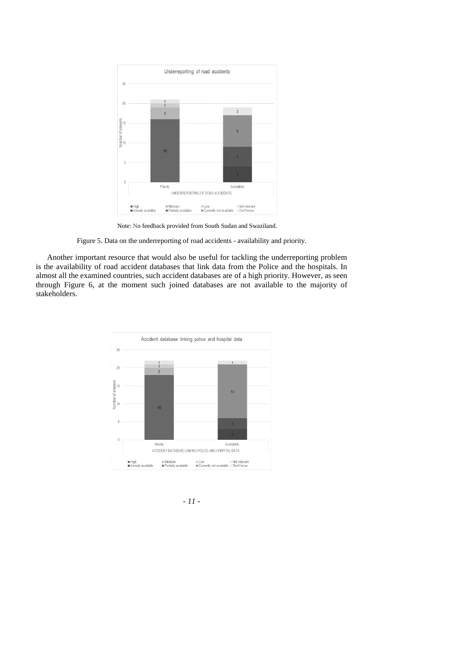

Note: No feedback provided from South Sudan and Swaziland.

Figure 5. Data on the underreporting of road accidents - availability and priority.

Another important resource that would also be useful for tackling the underreporting problem is the availability of road accident databases that link data from the Police and the hospitals. In almost all the examined countries, such accident databases are of a high priority. However, as seen through Figure 6, at the moment such joined databases are not available to the majority of stakeholders.



*- 11 -*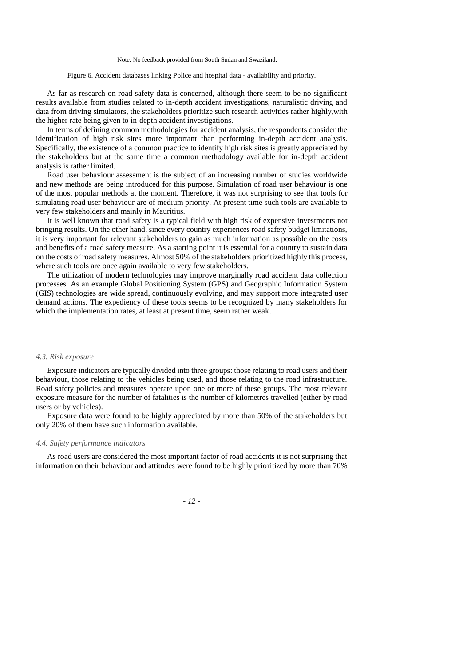#### Note: No feedback provided from South Sudan and Swaziland.

#### Figure 6. Accident databases linking Police and hospital data - availability and priority.

As far as research on road safety data is concerned, although there seem to be no significant results available from studies related to in-depth accident investigations, naturalistic driving and data from driving simulators, the stakeholders prioritize such research activities rather highly,with the higher rate being given to in-depth accident investigations.

In terms of defining common methodologies for accident analysis, the respondents consider the identification of high risk sites more important than performing in-depth accident analysis. Specifically, the existence of a common practice to identify high risk sites is greatly appreciated by the stakeholders but at the same time a common methodology available for in-depth accident analysis is rather limited.

Road user behaviour assessment is the subject of an increasing number of studies worldwide and new methods are being introduced for this purpose. Simulation of road user behaviour is one of the most popular methods at the moment. Therefore, it was not surprising to see that tools for simulating road user behaviour are of medium priority. At present time such tools are available to very few stakeholders and mainly in Mauritius.

It is well known that road safety is a typical field with high risk of expensive investments not bringing results. On the other hand, since every country experiences road safety budget limitations, it is very important for relevant stakeholders to gain as much information as possible on the costs and benefits of a road safety measure. As a starting point it is essential for a country to sustain data on the costs of road safety measures. Almost 50% of the stakeholders prioritized highly this process, where such tools are once again available to very few stakeholders.

The utilization of modern technologies may improve marginally road accident data collection processes. As an example Global Positioning System (GPS) and Geographic Information System (GIS) technologies are wide spread, continuously evolving, and may support more integrated user demand actions. The expediency of these tools seems to be recognized by many stakeholders for which the implementation rates, at least at present time, seem rather weak.

#### *4.3. Risk exposure*

Exposure indicators are typically divided into three groups: those relating to road users and their behaviour, those relating to the vehicles being used, and those relating to the road infrastructure. Road safety policies and measures operate upon one or more of these groups. The most relevant exposure measure for the number of fatalities is the number of kilometres travelled (either by road users or by vehicles).

Exposure data were found to be highly appreciated by more than 50% of the stakeholders but only 20% of them have such information available.

#### *4.4. Safety performance indicators*

As road users are considered the most important factor of road accidents it is not surprising that information on their behaviour and attitudes were found to be highly prioritized by more than 70%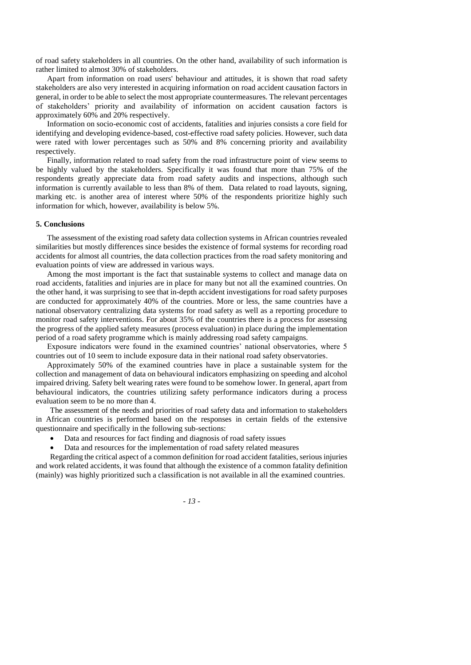of road safety stakeholders in all countries. On the other hand, availability of such information is rather limited to almost 30% of stakeholders.

Apart from information on road users' behaviour and attitudes, it is shown that road safety stakeholders are also very interested in acquiring information on road accident causation factors in general, in order to be able to select the most appropriate countermeasures. The relevant percentages of stakeholders' priority and availability of information on accident causation factors is approximately 60% and 20% respectively.

Information on socio-economic cost of accidents, fatalities and injuries consists a core field for identifying and developing evidence-based, cost-effective road safety policies. However, such data were rated with lower percentages such as 50% and 8% concerning priority and availability respectively.

Finally, information related to road safety from the road infrastructure point of view seems to be highly valued by the stakeholders. Specifically it was found that more than 75% of the respondents greatly appreciate data from road safety audits and inspections, although such information is currently available to less than 8% of them. Data related to road layouts, signing, marking etc. is another area of interest where 50% of the respondents prioritize highly such information for which, however, availability is below 5%.

# **5. Conclusions**

The assessment of the existing road safety data collection systems in African countries revealed similarities but mostly differences since besides the existence of formal systems for recording road accidents for almost all countries, the data collection practices from the road safety monitoring and evaluation points of view are addressed in various ways.

Among the most important is the fact that sustainable systems to collect and manage data on road accidents, fatalities and injuries are in place for many but not all the examined countries. On the other hand, it was surprising to see that in-depth accident investigations for road safety purposes are conducted for approximately 40% of the countries. More or less, the same countries have a national observatory centralizing data systems for road safety as well as a reporting procedure to monitor road safety interventions. For about 35% of the countries there is a process for assessing the progress of the applied safety measures (process evaluation) in place during the implementation period of a road safety programme which is mainly addressing road safety campaigns.

Exposure indicators were found in the examined countries' national observatories, where 5 countries out of 10 seem to include exposure data in their national road safety observatories.

Approximately 50% of the examined countries have in place a sustainable system for the collection and management of data on behavioural indicators emphasizing on speeding and alcohol impaired driving. Safety belt wearing rates were found to be somehow lower. In general, apart from behavioural indicators, the countries utilizing safety performance indicators during a process evaluation seem to be no more than 4.

The assessment of the needs and priorities of road safety data and information to stakeholders in African countries is performed based on the responses in certain fields of the extensive questionnaire and specifically in the following sub-sections:

- Data and resources for fact finding and diagnosis of road safety issues
- Data and resources for the implementation of road safety related measures

Regarding the critical aspect of a common definition for road accident fatalities, serious injuries and work related accidents, it was found that although the existence of a common fatality definition (mainly) was highly prioritized such a classification is not available in all the examined countries.

*- 13 -*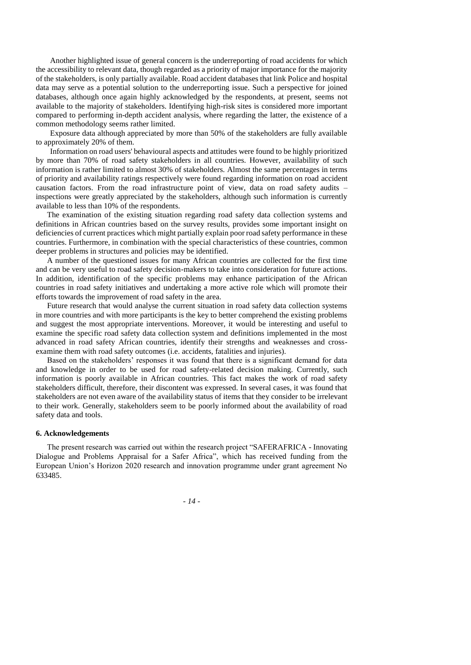Another highlighted issue of general concern is the underreporting of road accidents for which the accessibility to relevant data, though regarded as a priority of major importance for the majority of the stakeholders, is only partially available. Road accident databases that link Police and hospital data may serve as a potential solution to the underreporting issue. Such a perspective for joined databases, although once again highly acknowledged by the respondents, at present, seems not available to the majority of stakeholders. Identifying high-risk sites is considered more important compared to performing in-depth accident analysis, where regarding the latter, the existence of a common methodology seems rather limited.

Exposure data although appreciated by more than 50% of the stakeholders are fully available to approximately 20% of them.

Information on road users' behavioural aspects and attitudes were found to be highly prioritized by more than 70% of road safety stakeholders in all countries. However, availability of such information is rather limited to almost 30% of stakeholders. Almost the same percentages in terms of priority and availability ratings respectively were found regarding information on road accident causation factors. From the road infrastructure point of view, data on road safety audits – inspections were greatly appreciated by the stakeholders, although such information is currently available to less than 10% of the respondents.

The examination of the existing situation regarding road safety data collection systems and definitions in African countries based on the survey results, provides some important insight on deficiencies of current practices which might partially explain poor road safety performance in these countries. Furthermore, in combination with the special characteristics of these countries, common deeper problems in structures and policies may be identified.

A number of the questioned issues for many African countries are collected for the first time and can be very useful to road safety decision-makers to take into consideration for future actions. In addition, identification of the specific problems may enhance participation of the African countries in road safety initiatives and undertaking a more active role which will promote their efforts towards the improvement of road safety in the area.

Future research that would analyse the current situation in road safety data collection systems in more countries and with more participants is the key to better comprehend the existing problems and suggest the most appropriate interventions. Moreover, it would be interesting and useful to examine the specific road safety data collection system and definitions implemented in the most advanced in road safety African countries, identify their strengths and weaknesses and crossexamine them with road safety outcomes (i.e. accidents, fatalities and injuries).

Based on the stakeholders' responses it was found that there is a significant demand for data and knowledge in order to be used for road safety-related decision making. Currently, such information is poorly available in African countries. This fact makes the work of road safety stakeholders difficult, therefore, their discontent was expressed. In several cases, it was found that stakeholders are not even aware of the availability status of items that they consider to be irrelevant to their work. Generally, stakeholders seem to be poorly informed about the availability of road safety data and tools.

## **6. Acknowledgements**

The present research was carried out within the research project "SAFERAFRICA - Innovating Dialogue and Problems Appraisal for a Safer Africa", which has received funding from the European Union's Horizon 2020 research and innovation programme under grant agreement No 633485.

*- 14 -*